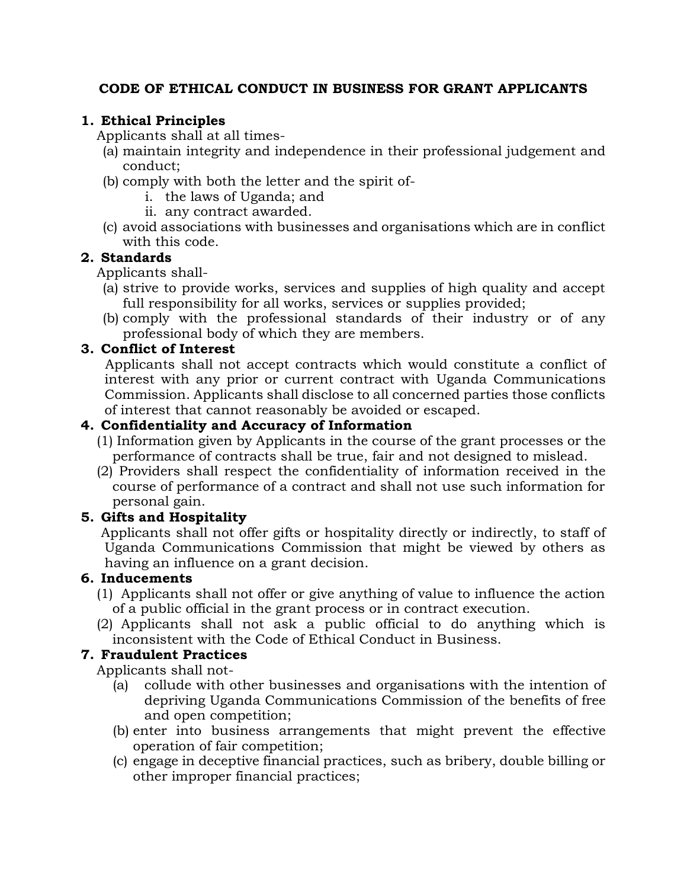# **CODE OF ETHICAL CONDUCT IN BUSINESS FOR GRANT APPLICANTS**

# **1. Ethical Principles**

Applicants shall at all times-

- (a) maintain integrity and independence in their professional judgement and conduct;
- (b) comply with both the letter and the spirit of
	- i. the laws of Uganda; and
	- ii. any contract awarded.
- (c) avoid associations with businesses and organisations which are in conflict with this code.

# **2. Standards**

Applicants shall-

- (a) strive to provide works, services and supplies of high quality and accept full responsibility for all works, services or supplies provided;
- (b) comply with the professional standards of their industry or of any professional body of which they are members.

### **3. Conflict of Interest**

Applicants shall not accept contracts which would constitute a conflict of interest with any prior or current contract with Uganda Communications Commission. Applicants shall disclose to all concerned parties those conflicts of interest that cannot reasonably be avoided or escaped.

### **4. Confidentiality and Accuracy of Information**

- (1) Information given by Applicants in the course of the grant processes or the performance of contracts shall be true, fair and not designed to mislead.
- (2) Providers shall respect the confidentiality of information received in the course of performance of a contract and shall not use such information for personal gain.

### **5. Gifts and Hospitality**

Applicants shall not offer gifts or hospitality directly or indirectly, to staff of Uganda Communications Commission that might be viewed by others as having an influence on a grant decision.

### **6. Inducements**

- (1) Applicants shall not offer or give anything of value to influence the action of a public official in the grant process or in contract execution.
- (2) Applicants shall not ask a public official to do anything which is inconsistent with the Code of Ethical Conduct in Business.

### **7. Fraudulent Practices**

Applicants shall not-

- (a) collude with other businesses and organisations with the intention of depriving Uganda Communications Commission of the benefits of free and open competition;
- (b) enter into business arrangements that might prevent the effective operation of fair competition;
- (c) engage in deceptive financial practices, such as bribery, double billing or other improper financial practices;